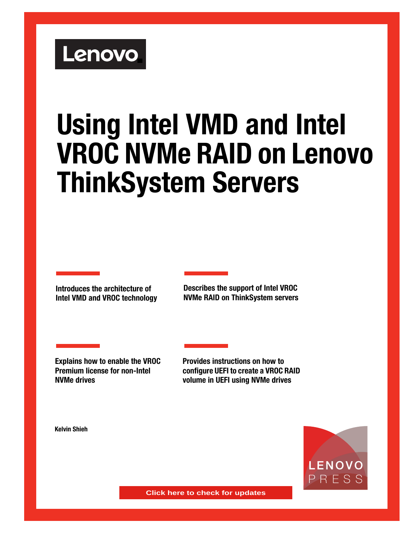# Lenovo

# **Using Intel VMD and Intel VROC NVMe RAID on Lenovo ThinkSystem Servers**

**Introduces the architecture of Intel VMD and VROC technology** **Describes the support of Intel VROC NVMe RAID on ThinkSystem servers**

**Explains how to enable the VROC Premium license for non-Intel NVMe drives**

**Provides instructions on how to configure UEFI to create a VROC RAID volume in UEFI using NVMe drives** 

**Kelvin Shieh**



**Click here to check for updates**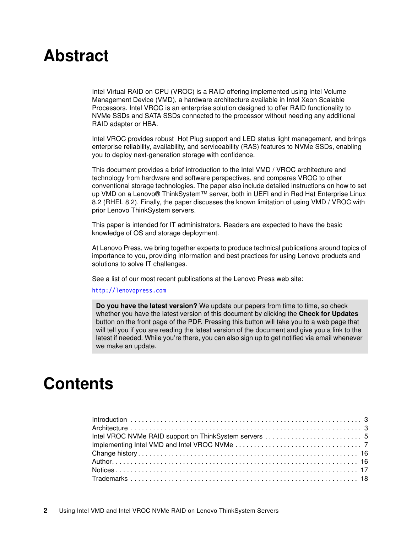# **Abstract**

Intel Virtual RAID on CPU (VROC) is a RAID offering implemented using Intel Volume Management Device (VMD), a hardware architecture available in Intel Xeon Scalable Processors. Intel VROC is an enterprise solution designed to offer RAID functionality to NVMe SSDs and SATA SSDs connected to the processor without needing any additional RAID adapter or HBA.

Intel VROC provides robust Hot Plug support and LED status light management, and brings enterprise reliability, availability, and serviceability (RAS) features to NVMe SSDs, enabling you to deploy next-generation storage with confidence.

This document provides a brief introduction to the Intel VMD / VROC architecture and technology from hardware and software perspectives, and compares VROC to other conventional storage technologies. The paper also include detailed instructions on how to set up VMD on a Lenovo® ThinkSystem™ server, both in UEFI and in Red Hat Enterprise Linux 8.2 (RHEL 8.2). Finally, the paper discusses the known limitation of using VMD / VROC with prior Lenovo ThinkSystem servers.

This paper is intended for IT administrators. Readers are expected to have the basic knowledge of OS and storage deployment.

At Lenovo Press, we bring together experts to produce technical publications around topics of importance to you, providing information and best practices for using Lenovo products and solutions to solve IT challenges.

See a list of our most recent publications at the Lenovo Press web site:

#### <http://lenovopress.com>

**Do you have the latest version?** We update our papers from time to time, so check whether you have the latest version of this document by clicking the **Check for Updates** button on the front page of the PDF. Pressing this button will take you to a web page that will tell you if you are reading the latest version of the document and give you a link to the latest if needed. While you're there, you can also sign up to get notified via email whenever we make an update.

# **Contents**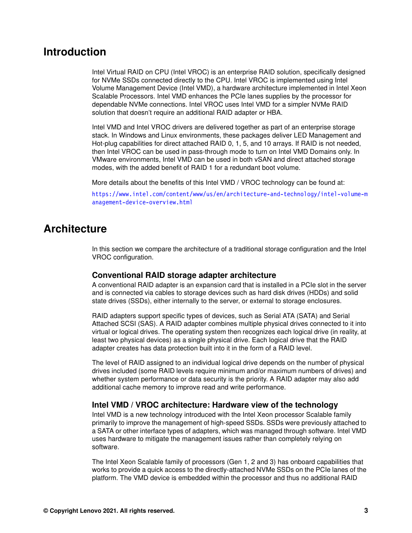### <span id="page-2-0"></span>**Introduction**

Intel Virtual RAID on CPU (Intel VROC) is an enterprise RAID solution, specifically designed for NVMe SSDs connected directly to the CPU. Intel VROC is implemented using Intel Volume Management Device (Intel VMD), a hardware architecture implemented in Intel Xeon Scalable Processors. Intel VMD enhances the PCIe lanes supplies by the processor for dependable NVMe connections. Intel VROC uses Intel VMD for a simpler NVMe RAID solution that doesn't require an additional RAID adapter or HBA.

Intel VMD and Intel VROC drivers are delivered together as part of an enterprise storage stack. In Windows and Linux environments, these packages deliver LED Management and Hot-plug capabilities for direct attached RAID 0, 1, 5, and 10 arrays. If RAID is not needed, then Intel VROC can be used in pass-through mode to turn on Intel VMD Domains only. In VMware environments, Intel VMD can be used in both vSAN and direct attached storage modes, with the added benefit of RAID 1 for a redundant boot volume.

More details about the benefits of this Intel VMD / VROC technology can be found at:

[https://www.intel.com/content/www/us/en/architecture-and-technology/intel-volume-m](https://www.intel.com/content/www/us/en/architecture-and-technology/intel-volume-management-device-overview.html) [anagement-device-overview.html](https://www.intel.com/content/www/us/en/architecture-and-technology/intel-volume-management-device-overview.html)

#### <span id="page-2-1"></span>**Architecture**

In this section we compare the architecture of a traditional storage configuration and the Intel VROC configuration.

#### **Conventional RAID storage adapter architecture**

A conventional RAID adapter is an expansion card that is installed in a PCIe slot in the server and is connected via cables to storage devices such as hard disk drives (HDDs) and solid state drives (SSDs), either internally to the server, or external to storage enclosures.

RAID adapters support specific types of devices, such as Serial ATA (SATA) and Serial Attached SCSI (SAS). A RAID adapter combines multiple physical drives connected to it into virtual or logical drives. The operating system then recognizes each logical drive (in reality, at least two physical devices) as a single physical drive. Each logical drive that the RAID adapter creates has data protection built into it in the form of a RAID level.

The level of RAID assigned to an individual logical drive depends on the number of physical drives included (some RAID levels require minimum and/or maximum numbers of drives) and whether system performance or data security is the priority. A RAID adapter may also add additional cache memory to improve read and write performance.

#### **Intel VMD / VROC architecture: Hardware view of the technology**

Intel VMD is a new technology introduced with the Intel Xeon processor Scalable family primarily to improve the management of high-speed SSDs. SSDs were previously attached to a SATA or other interface types of adapters, which was managed through software. Intel VMD uses hardware to mitigate the management issues rather than completely relying on software.

The Intel Xeon Scalable family of processors (Gen 1, 2 and 3) has onboard capabilities that works to provide a quick access to the directly-attached NVMe SSDs on the PCIe lanes of the platform. The VMD device is embedded within the processor and thus no additional RAID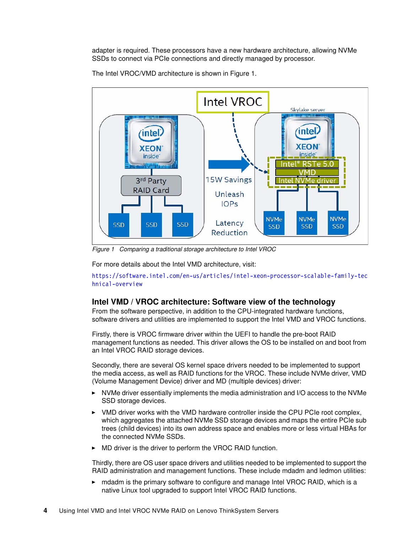adapter is required. These processors have a new hardware architecture, allowing NVMe SSDs to connect via PCIe connections and directly managed by processor.



The Intel VROC/VMD architecture is shown in [Figure 1.](#page-3-0)

<span id="page-3-0"></span>*Figure 1 Comparing a traditional storage architecture to Intel VROC*

For more details about the Intel VMD architecture, visit:

[https://software.intel.com/en-us/articles/intel-xeon-processor-scalable-family-tec](https://software.intel.com/en-us/articles/intel-xeon-processor-scalable-family-technical-overview) [hnical-overview](https://software.intel.com/en-us/articles/intel-xeon-processor-scalable-family-technical-overview)

#### **Intel VMD / VROC architecture: Software view of the technology**

From the software perspective, in addition to the CPU-integrated hardware functions, software drivers and utilities are implemented to support the Intel VMD and VROC functions.

Firstly, there is VROC firmware driver within the UEFI to handle the pre-boot RAID management functions as needed. This driver allows the OS to be installed on and boot from an Intel VROC RAID storage devices.

Secondly, there are several OS kernel space drivers needed to be implemented to support the media access, as well as RAID functions for the VROC. These include NVMe driver, VMD (Volume Management Device) driver and MD (multiple devices) driver:

- NVMe driver essentially implements the media administration and I/O access to the NVMe SSD storage devices.
- - VMD driver works with the VMD hardware controller inside the CPU PCIe root complex, which aggregates the attached NVMe SSD storage devices and maps the entire PCIe sub trees (child devices) into its own address space and enables more or less virtual HBAs for the connected NVMe SSDs.
- -MD driver is the driver to perform the VROC RAID function.

Thirdly, there are OS user space drivers and utilities needed to be implemented to support the RAID administration and management functions. These include mdadm and ledmon utilities:

 mdadm is the primary software to configure and manage Intel VROC RAID, which is a native Linux tool upgraded to support Intel VROC RAID functions.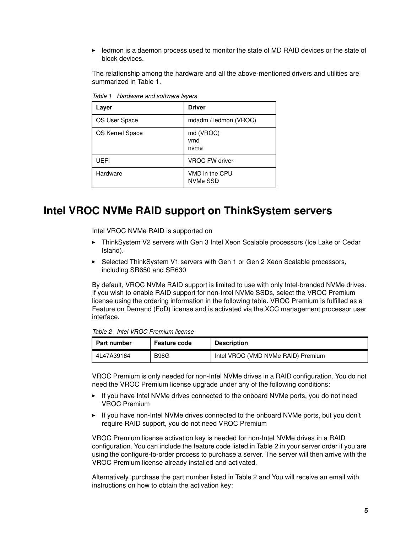► ledmon is a daemon process used to monitor the state of MD RAID devices or the state of block devices.

The relationship among the hardware and all the above-mentioned drivers and utilities are summarized in [Table 1.](#page-4-1)

| Layer           | <b>Driver</b>              |
|-----------------|----------------------------|
| OS User Space   | mdadm / ledmon (VROC)      |
| OS Kernel Space | md (VROC)<br>vmd<br>nyme   |
| UEFI            | <b>VROC FW driver</b>      |
| Hardware        | VMD in the CPU<br>NVMe SSD |

<span id="page-4-1"></span>*Table 1 Hardware and software layers*

## <span id="page-4-0"></span>**Intel VROC NVMe RAID support on ThinkSystem servers**

Intel VROC NVMe RAID is supported on

- ► ThinkSystem V2 servers with Gen 3 Intel Xeon Scalable processors (Ice Lake or Cedar Island).
- ► Selected ThinkSystem V1 servers with Gen 1 or Gen 2 Xeon Scalable processors, including SR650 and SR630

By default, VROC NVMe RAID support is limited to use with only Intel-branded NVMe drives. If you wish to enable RAID support for non-Intel NVMe SSDs, select the VROC Premium license using the ordering information in the following table. VROC Premium is fulfilled as a Feature on Demand (FoD) license and is activated via the XCC management processor user interface.

<span id="page-4-2"></span>*Table 2 Intel VROC Premium license*

| <b>Part number</b> | <b>Feature code</b> | <b>Description</b>                 |
|--------------------|---------------------|------------------------------------|
| 4L47A39164         | <b>B96G</b>         | Intel VROC (VMD NVMe RAID) Premium |

VROC Premium is only needed for non-Intel NVMe drives in a RAID configuration. You do not need the VROC Premium license upgrade under any of the following conditions:

- ► If you have Intel NVMe drives connected to the onboard NVMe ports, you do not need VROC Premium
- ► If you have non-Intel NVMe drives connected to the onboard NVMe ports, but you don't require RAID support, you do not need VROC Premium

VROC Premium license activation key is needed for non-Intel NVMe drives in a RAID configuration. You can include the feature code listed in [Table 2](#page-4-2) in your server order if you are using the configure-to-order process to purchase a server. The server will then arrive with the VROC Premium license already installed and activated.

Alternatively, purchase the part number listed in [Table 2](#page-4-2) and You will receive an email with instructions on how to obtain the activation key: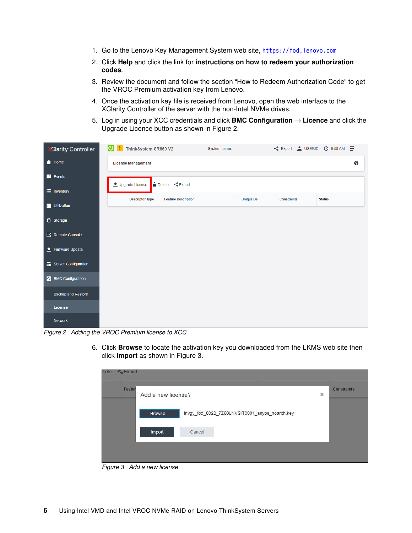- 1. Go to the Lenovo Key Management System web site, <https://fod.lenovo.com>
- 2. Click **Help** and click the link for **instructions on how to redeem your authorization codes**.
- 3. Review the document and follow the section "How to Redeem Authorization Code" to get the VROC Premium activation key from Lenovo.
- 4. Once the activation key file is received from Lenovo, open the web interface to the XClarity Controller of the server with the non-Intel NVMe drives.
- 5. Log in using your XCC credentials and click **BMC Configuration** → **Licence** and click the Upgrade Licence button as shown in [Figure 2](#page-5-0).

| Clarity Controller          | U   ThinkSystem SR860 V2  |                                                                        | System name: |                  |                    | < Export & USERID @ 9:58 AM = |
|-----------------------------|---------------------------|------------------------------------------------------------------------|--------------|------------------|--------------------|-------------------------------|
| <b>f</b> Home               | <b>License Management</b> |                                                                        |              |                  |                    | $\boldsymbol{Q}$              |
| <b>E</b> Events             | Upgrade License           | 面 Delete <export< th=""><th></th><th></th><th></th><th></th></export<> |              |                  |                    |                               |
| $\equiv$ Inventory          |                           |                                                                        |              |                  |                    |                               |
| <b>III</b> Utilization      | <b>Descriptor Type</b>    | <b>Feature Description</b>                                             |              | <b>UniqueIDs</b> | <b>Constraints</b> | <b>Status</b>                 |
| <b>e</b> Storage            |                           |                                                                        |              |                  |                    |                               |
| $\mathbb{Z}$ Remote Console |                           |                                                                        |              |                  |                    |                               |
| <b>≜</b> Firmware Update    |                           |                                                                        |              |                  |                    |                               |
| Server Configuration        |                           |                                                                        |              |                  |                    |                               |
| <b>V</b> BMC Configuration  |                           |                                                                        |              |                  |                    |                               |
| <b>Backup and Restore</b>   |                           |                                                                        |              |                  |                    |                               |
| License                     |                           |                                                                        |              |                  |                    |                               |
| <b>Network</b>              |                           |                                                                        |              |                  |                    |                               |

<span id="page-5-0"></span>*Figure 2 Adding the VROC Premium license to XCC*

6. Click **Browse** to locate the activation key you downloaded from the LKMS web site then click **Import** as shown in [Figure 3](#page-5-1).

| Featur | Add a new license?                                       | × | <b>Constraints</b> |
|--------|----------------------------------------------------------|---|--------------------|
|        | Invgy_fod_8022_7Z60LNVSIT0001_anyos_noarch.key<br>Browse |   |                    |
|        | Cancel<br><b>Import</b>                                  |   |                    |

<span id="page-5-1"></span>*Figure 3 Add a new license*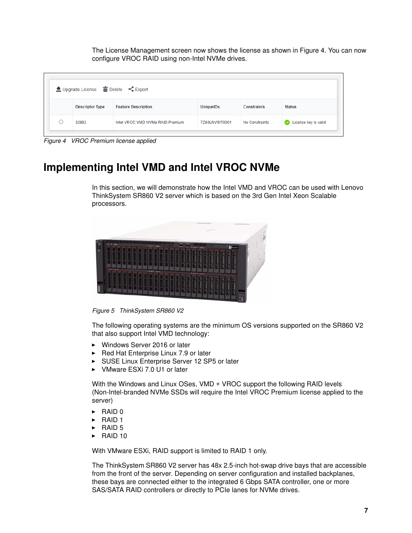The License Management screen now shows the license as shown in [Figure 4](#page-6-1). You can now configure VROC RAID using non-Intel NVMe drives.

|           | ▲ Upgrade License 面 Delete < Export |                                  |                  |                    |                      |
|-----------|-------------------------------------|----------------------------------|------------------|--------------------|----------------------|
|           | <b>Descriptor Type</b>              | <b>Feature Description</b>       | <b>UniquelDs</b> | <b>Constraints</b> | <b>Status</b>        |
| $\bigcap$ | 32802                               | Intel VROC VMD NVMe RAID Premium | 7Z60LNVSIT0001   | No Constraints     | License key is valid |

<span id="page-6-1"></span>*Figure 4 VROC Premium license applied*

# <span id="page-6-0"></span>**Implementing Intel VMD and Intel VROC NVMe**

In this section, we will demonstrate how the Intel VMD and VROC can be used with Lenovo ThinkSystem SR860 V2 server which is based on the 3rd Gen Intel Xeon Scalable processors.



*Figure 5 ThinkSystem SR860 V2*

The following operating systems are the minimum OS versions supported on the SR860 V2 that also support Intel VMD technology:

- Windows Server 2016 or later
- ► Red Hat Enterprise Linux 7.9 or later
- ► SUSE Linux Enterprise Server 12 SP5 or later
- -VMware ESXi 7.0 U1 or later

With the Windows and Linux OSes, VMD + VROC support the following RAID levels (Non-Intel-branded NVMe SSDs will require the Intel VROC Premium license applied to the server)

- -RAID 0
- -RAID 1
- -RAID 5
- $\blacktriangleright$  RAID 10

With VMware ESXi, RAID support is limited to RAID 1 only.

The ThinkSystem SR860 V2 server has 48x 2.5-inch hot-swap drive bays that are accessible from the front of the server. Depending on server configuration and installed backplanes, these bays are connected either to the integrated 6 Gbps SATA controller, one or more SAS/SATA RAID controllers or directly to PCIe lanes for NVMe drives.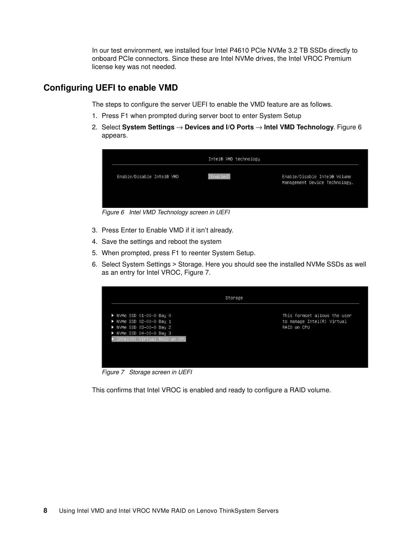In our test environment, we installed four Intel P4610 PCIe NVMe 3.2 TB SSDs directly to onboard PCIe connectors. Since these are Intel NVMe drives, the Intel VROC Premium license key was not needed.

#### **Configuring UEFI to enable VMD**

The steps to configure the server UEFI to enable the VMD feature are as follows.

- 1. Press F1 when prompted during server boot to enter System Setup
- 2. Select **System Settings** → **Devices and I/O Ports** → **Intel VMD Technology**. [Figure 6](#page-7-0)  appears.



*Figure 6 Intel VMD Technology screen in UEFI*

- <span id="page-7-0"></span>3. Press Enter to Enable VMD if it isn't already.
- 4. Save the settings and reboot the system
- 5. When prompted, press F1 to reenter System Setup.
- 6. Select System Settings > Storage. Here you should see the installed NVMe SSDs as well as an entry for Intel VROC, [Figure 7.](#page-7-1)

|                                                                                                                                                                  | Storage                                                                   |
|------------------------------------------------------------------------------------------------------------------------------------------------------------------|---------------------------------------------------------------------------|
| $\blacktriangleright$ NVMe SSD 01-00-0 Bay 0<br>▶ NVMe SSD 02-00-0 Bay 1<br>▶ NVMe SSD 03-00-0 Bay 2<br>▶ NVMe SSD 04-00-0 Bay 3<br>Intel(R) Virtual RAID on CPU | This formset allows the user<br>to manage Intel(R) Virtual<br>RAID on CPU |

<span id="page-7-1"></span>*Figure 7 Storage screen in UEFI*

This confirms that Intel VROC is enabled and ready to configure a RAID volume.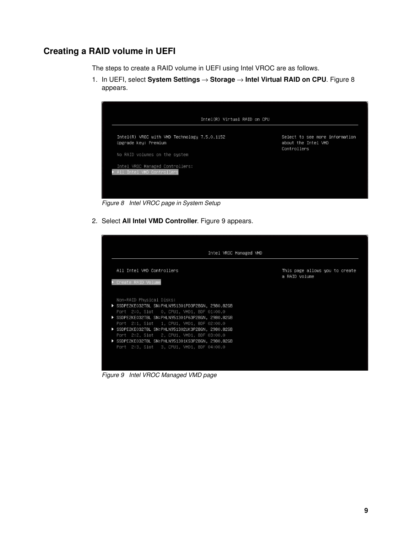#### **Creating a RAID volume in UEFI**

The steps to create a RAID volume in UEFI using Intel VROC are as follows.

1. In UEFI, select **System Settings** → **Storage** → **Intel Virtual RAID on CPU**. [Figure 8](#page-8-0) appears.



*Figure 8 Intel VROC page in System Setup*

<span id="page-8-0"></span>2. Select **All Intel VMD Controller**. [Figure 9](#page-8-1) appears.

| Intel VROC Managed VMD                                                                                                                                                                                                                                                                                                                                                                                                         |                                                 |
|--------------------------------------------------------------------------------------------------------------------------------------------------------------------------------------------------------------------------------------------------------------------------------------------------------------------------------------------------------------------------------------------------------------------------------|-------------------------------------------------|
| All Intel VMD Controllers<br>▶ Create RAID Volume                                                                                                                                                                                                                                                                                                                                                                              | This page allows you to create<br>a RAID volume |
| Non–RAID Physical Disks:<br>▶ SSDPE2KE032T8L SN:PHLN951301PD3P2BGN, 2980.82GB<br>Port 2:0, Slot 0, CPU1, VMD1, BDF 01:00.0<br>▶ SSDPE2KE032T8L SN:PHLN951301P63P2BGN, 2980.82GB<br>Port 2:1, Slot 1, CPU1, VMD1, BDF 02:00.0<br>▶ SSDPE2KE032T8L SN:PHLN951302UK3P2BGN, 2980.82GB<br>Port 2:2, Slot 2, CPU1, VMD1, BDF 03:00.0<br>SSDPE2KE032T8L SN:PHLN951301KS3P2BGN, 2980.82GB<br>Port 2:3, Slot 3, CPU1, VMD1, BDF 04:00.0 |                                                 |

<span id="page-8-1"></span>*Figure 9 Intel VROC Managed VMD page*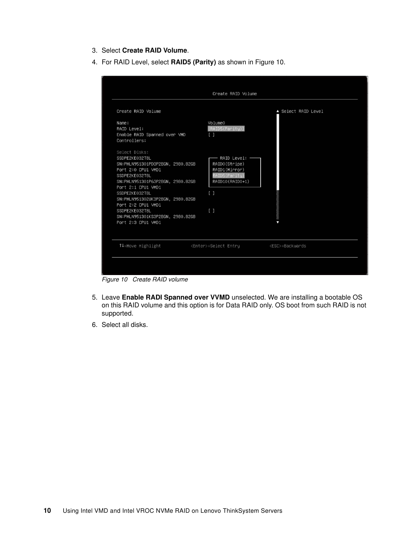- 3. Select **Create RAID Volume**.
- 4. For RAID Level, select **RAID5 (Parity)** as shown in [Figure 10.](#page-9-0)

|                                                                                                                                                                                                                                                                                                                               | Create RAID Volume                                                                                                                 |                       |
|-------------------------------------------------------------------------------------------------------------------------------------------------------------------------------------------------------------------------------------------------------------------------------------------------------------------------------|------------------------------------------------------------------------------------------------------------------------------------|-----------------------|
| Create RAID Volume                                                                                                                                                                                                                                                                                                            |                                                                                                                                    | ▲ Select RAID Level   |
| Name:<br>RAID Level:<br>Enable RAID Spanned over VMD<br>Controllers:                                                                                                                                                                                                                                                          | Volume0<br>[RAID5(Parity)]<br>$\Box$                                                                                               |                       |
| Select Disks:<br>SSDPE2KE032T8L<br>SN:PHLN951301PD3P2BGN, 2980.82GB<br>Port 2:0 CPU1 VMD1<br>SSDPE2KE032T8L<br>SN:PHLN951301P63P2BGN, 2980.82GB<br>Port 2:1 CPU1 VMD1<br>SSDPE2KE032T8L<br>SN:PHLN951302UK3P2BGN, 2980.82GB<br>Port 2:2 CPU1 VMD1<br>SSDPE2KE032T8L<br>SN:PHLN951301KS3P2BGN, 2980.82GB<br>Port 2:3 CPU1 VMD1 | RAID Level: -<br>RAIDO(Stripe)<br>RAID1(Mirror)<br>RAID5(Parity)<br>RAID10(RAID0+1)<br>$\Box$<br>$\begin{bmatrix} 1 \end{bmatrix}$ |                       |
| ↑↓=Move Highlight                                                                                                                                                                                                                                                                                                             | <enter>=Select Entry</enter>                                                                                                       | <esc>=Backwards</esc> |

<span id="page-9-0"></span>*Figure 10 Create RAID volume*

- 5. Leave **Enable RADI Spanned over VVMD** unselected. We are installing a bootable OS on this RAID volume and this option is for Data RAID only. OS boot from such RAID is not supported.
- 6. Select all disks.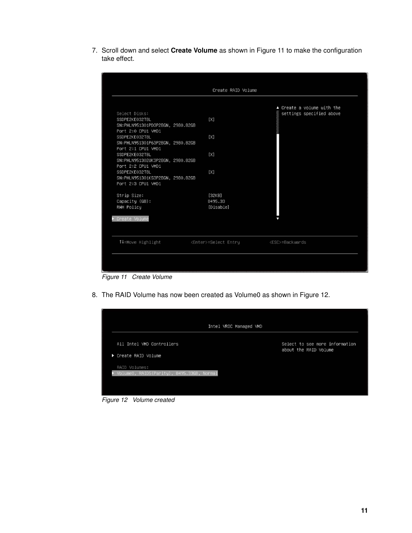7. Scroll down and select **Create Volume** as shown in [Figure 11](#page-10-0) to make the configuration take effect.

|                                  | Create RAID Volume           |                            |
|----------------------------------|------------------------------|----------------------------|
|                                  |                              |                            |
|                                  |                              | ▲ Create a volume with the |
| Select Disks:                    |                              | settings specified above   |
| SSDPE2KE032T8L                   | [X]                          |                            |
| SN:PHLN951301PD3P2BGN, 2980.82GB |                              |                            |
| Port 2:0 CPU1 VMD1               |                              |                            |
| SSDPE2KE032T8L                   | [X]                          |                            |
| SN:PHLN951301P63P2BGN, 2980.82GB |                              |                            |
| Port 2:1 CPU1 VMD1               |                              |                            |
| SSDPE2KE032T8L                   | [X]                          |                            |
| SN:PHLN951302UK3P2BGN, 2980.82GB |                              |                            |
| Port 2:2 CPU1 VMD1               |                              |                            |
| SSDPE2KE032T8L                   | [X]                          |                            |
| SN:PHLN951301KS3P2BGN, 2980.82GB |                              |                            |
| Port 2:3 CPU1 VMD1               |                              |                            |
| Strip Size:                      | [32KB]                       |                            |
| Capacity (GB):                   | 8495.33                      |                            |
| RWH Policy                       | [Disable]                    |                            |
|                                  |                              |                            |
| ← Create Volume                  |                              |                            |
|                                  |                              |                            |
|                                  |                              |                            |
| ↑↓=Move Highlight                | <enter>=Select Entry</enter> | <esc>=Backwards</esc>      |
|                                  |                              |                            |

<span id="page-10-0"></span>*Figure 11 Create Volume*

8. The RAID Volume has now been created as Volume0 as shown in [Figure 12.](#page-10-1)

| Intel VROC Managed VMD<br>All Intel VMD Controllers<br>Select to see more information<br>about the RAID Volume<br>▶ Create RAID Volume<br>RAID Volumes:<br>VolumeO, RAID5(Parity), 8495.33GB, Normal |  |  |
|------------------------------------------------------------------------------------------------------------------------------------------------------------------------------------------------------|--|--|
|                                                                                                                                                                                                      |  |  |
|                                                                                                                                                                                                      |  |  |
|                                                                                                                                                                                                      |  |  |
|                                                                                                                                                                                                      |  |  |
|                                                                                                                                                                                                      |  |  |

<span id="page-10-1"></span>*Figure 12 Volume created*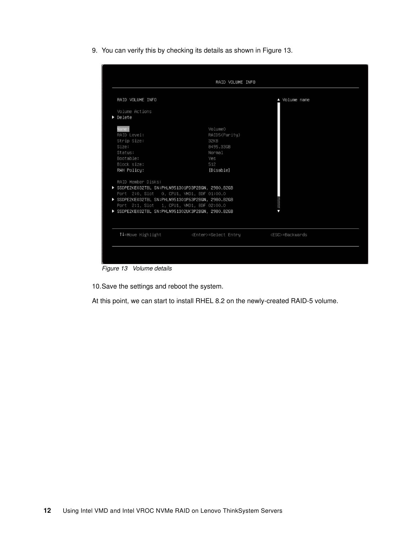9. You can verify this by checking its details as shown in [Figure 13](#page-11-0).

|                                                                                                                                                                                                                                                                                                                                                                             | RAID VOLUME INFO                                                                   |               |
|-----------------------------------------------------------------------------------------------------------------------------------------------------------------------------------------------------------------------------------------------------------------------------------------------------------------------------------------------------------------------------|------------------------------------------------------------------------------------|---------------|
| RAID VOLUME INFO                                                                                                                                                                                                                                                                                                                                                            |                                                                                    | ▲ Volume name |
| Volume Actions<br>$\blacktriangleright$ Delete                                                                                                                                                                                                                                                                                                                              |                                                                                    |               |
| Name:<br>RAID Level:<br>Strip Size:<br>Size:<br>Status:<br>Bootable:<br>Block size:<br>RWH Policy:<br>RAID Member Disks:<br>SSDPE2KE032T8L SN:PHLN951301PD3P2BGN, 2980.82GB<br>Port 2:0, Slot 0, CPU1, VMD1, BDF 01:00.0<br>SSDPE2KE032T8L SN:PHLN951301P63P2BGN, 2980.82GB<br>Port 2:1, Slot 1, CPU1, VMD1, BDF 02:00.0<br>SSDPE2KE032T8L SN:PHLN951302UK3P2BGN, 2980.82GB | Volume0<br>RAID5(Parity)<br>32KB<br>8495.33GB<br>Normal<br>Yes<br>512<br>[Disable] |               |
|                                                                                                                                                                                                                                                                                                                                                                             |                                                                                    |               |
|                                                                                                                                                                                                                                                                                                                                                                             |                                                                                    |               |

<span id="page-11-0"></span>*Figure 13 Volume details*

10.Save the settings and reboot the system.

At this point, we can start to install RHEL 8.2 on the newly-created RAID-5 volume.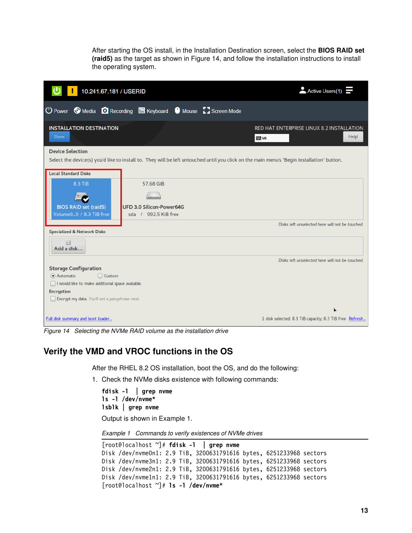After starting the OS install, in the Installation Destination screen, select the **BIOS RAID set (raid5)** as the target as shown in [Figure 14](#page-12-1), and follow the installation instructions to install the operating system.



*Figure 14 Selecting the NVMe RAID volume as the installation drive*

#### <span id="page-12-1"></span>**Verify the VMD and VROC functions in the OS**

After the RHEL 8.2 OS installation, boot the OS, and do the following:

1. Check the NVMe disks existence with following commands:

**fdisk -l | grep nvme ls -l /dev/nvme\* lsblk | grep nvme**

Output is shown in [Example 1](#page-12-0).

<span id="page-12-0"></span>*Example 1 Commands to verify existences of NVMe drives*

```
[root@localhost ~]# fdisk -l | grep nvme
Disk /dev/nvme0n1: 2.9 TiB, 3200631791616 bytes, 6251233968 sectors
Disk /dev/nvme3n1: 2.9 TiB, 3200631791616 bytes, 6251233968 sectors
Disk /dev/nvme2n1: 2.9 TiB, 3200631791616 bytes, 6251233968 sectors
Disk /dev/nvme1n1: 2.9 TiB, 3200631791616 bytes, 6251233968 sectors 
[root@localhost ~]# ls -l /dev/nvme*
```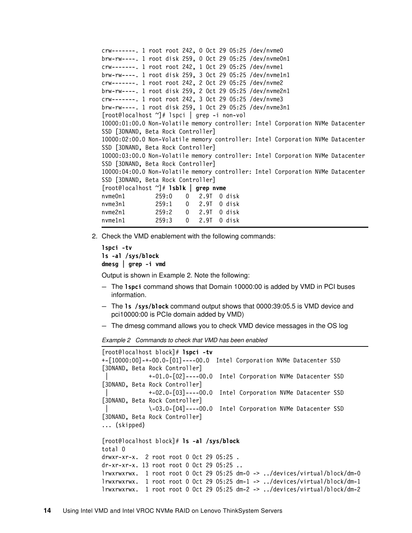```
crw-------. 1 root root 242, 0 Oct 29 05:25 /dev/nvme0
brw-rw----. 1 root disk 259, 0 Oct 29 05:25 /dev/nvme0n1
crw-------. 1 root root 242, 1 Oct 29 05:25 /dev/nvme1
brw-rw----. 1 root disk 259, 3 Oct 29 05:25 /dev/nvme1n1
crw-------. 1 root root 242, 2 Oct 29 05:25 /dev/nvme2
brw-rw----. 1 root disk 259, 2 Oct 29 05:25 /dev/nvme2n1
crw-------. 1 root root 242, 3 Oct 29 05:25 /dev/nvme3
brw-rw----. 1 root disk 259, 1 Oct 29 05:25 /dev/nvme3n1
[root@localhost ~]# lspci | grep -i non-vol
10000:01:00.0 Non-Volatile memory controller: Intel Corporation NVMe Datacenter 
SSD [3DNAND, Beta Rock Controller]
10000:02:00.0 Non-Volatile memory controller: Intel Corporation NVMe Datacenter 
SSD [3DNAND, Beta Rock Controller]
10000:03:00.0 Non-Volatile memory controller: Intel Corporation NVMe Datacenter 
SSD [3DNAND, Beta Rock Controller]
10000:04:00.0 Non-Volatile memory controller: Intel Corporation NVMe Datacenter 
SSD [3DNAND, Beta Rock Controller]
[root@localhost ~]# lsblk | grep nvme
nvme0n1 259:0 0 2.9T 0 disk 
nvme3n1 259:1 0 2.9T 0 disk 
nvme2n1 259:2 0 2.9T 0 disk 
nvme1n1 259:3 0 2.9T 0 disk
```
2. Check the VMD enablement with the following commands:

```
lspci -tv
ls -al /sys/block
dmesg | grep -i vmd
```
Output is shown in [Example 2](#page-13-0). Note the following:

- The **lspci** command shows that Domain 10000:00 is added by VMD in PCI buses information.
- The **ls /sys/block** command output shows that 0000:39:05.5 is VMD device and pci10000:00 is PCIe domain added by VMD)
- The dmesg command allows you to check VMD device messages in the OS log

<span id="page-13-0"></span>*Example 2 Commands to check that VMD has been enabled*

```
[root@localhost block]# lspci -tv
+-[10000:00]-+-00.0-[01]----00.0 Intel Corporation NVMe Datacenter SSD 
[3DNAND, Beta Rock Controller]
               | +-01.0-[02]----00.0 Intel Corporation NVMe Datacenter SSD 
[3DNAND, Beta Rock Controller]
               | +-02.0-[03]----00.0 Intel Corporation NVMe Datacenter SSD 
[3DNAND, Beta Rock Controller]
               | \-03.0-[04]----00.0 Intel Corporation NVMe Datacenter SSD 
[3DNAND, Beta Rock Controller]
... (skipped)
[root@localhost block]# ls -al /sys/block
total 0
drwxr-xr-x. 2 root root 0 Oct 29 05:25 .
dr-xr-xr-x. 13 root root 0 Oct 29 05:25 ..
lrwxrwxrwx. 1 root root 0 Oct 29 05:25 dm-0 -> ../devices/virtual/block/dm-0
lrwxrwxrwx. 1 root root 0 Oct 29 05:25 dm-1 -> ../devices/virtual/block/dm-1
lrwxrwxrwx. 1 root root 0 Oct 29 05:25 dm-2 -> ../devices/virtual/block/dm-2
```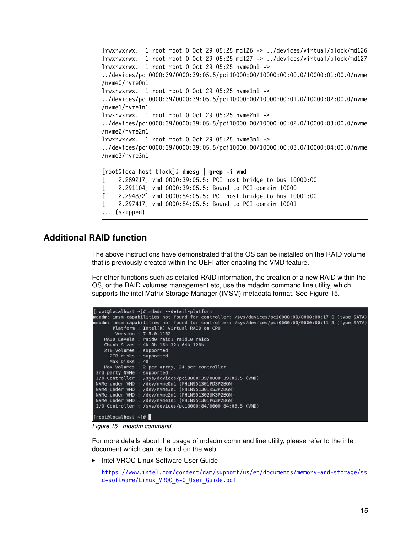```
lrwxrwxrwx. 1 root root 0 Oct 29 05:25 md126 -> ../devices/virtual/block/md126
lrwxrwxrwx. 1 root root 0 Oct 29 05:25 md127 -> ../devices/virtual/block/md127
lrwxrwxrwx. 1 root root 0 Oct 29 05:25 nvme0n1 -> 
../devices/pci0000:39/0000:39:05.5/pci10000:00/10000:00:00.0/10000:01:00.0/nvme
/nvme0/nvme0n1
lrwxrwxrwx. 1 root root 0 Oct 29 05:25 nvme1n1 -> 
../devices/pci0000:39/0000:39:05.5/pci10000:00/10000:00:01.0/10000:02:00.0/nvme
/nvme1/nvme1n1
lrwxrwxrwx. 1 root root 0 Oct 29 05:25 nvme2n1 -> 
../devices/pci0000:39/0000:39:05.5/pci10000:00/10000:00:02.0/10000:03:00.0/nvme
/nvme2/nvme2n1
lrwxrwxrwx. 1 root root 0 Oct 29 05:25 nvme3n1 -> 
../devices/pci0000:39/0000:39:05.5/pci10000:00/10000:00:03.0/10000:04:00.0/nvme
/nvme3/nvme3n1 
[root@localhost block]# dmesg | grep -i vmd
[ 2.289217] vmd 0000:39:05.5: PCI host bridge to bus 10000:00
[ 2.291104] vmd 0000:39:05.5: Bound to PCI domain 10000
[ 2.294872] vmd 0000:84:05.5: PCI host bridge to bus 10001:00
[ 2.297417] vmd 0000:84:05.5: Bound to PCI domain 10001
... (skipped)
```
#### **Additional RAID function**

The above instructions have demonstrated that the OS can be installed on the RAID volume that is previously created within the UEFI after enabling the VMD feature.

For other functions such as detailed RAID information, the creation of a new RAID within the OS, or the RAID volumes management etc, use the mdadm command line utility, which supports the intel Matrix Storage Manager (IMSM) metadata format. See [Figure 15](#page-14-0).

| [root@localhost ~]# mdadm --detail-platform                                                         |
|-----------------------------------------------------------------------------------------------------|
| mdadm: imsm capabilities not found for controller: /sys/devices/pci0000:00/0000:00:17.0 (type SATA) |
| mdadm: imsm capabilities not found for controller: /sys/devices/pci0000:00/0000:00:11.5 (type SATA) |
| Platform: Intel(R) Virtual RAID on CPU                                                              |
| Version: 7.5.0.1152                                                                                 |
|                                                                                                     |
| RAID Levels : raid0 raid1 raid10 raid5                                                              |
| Chunk Sizes : 4k 8k 16k 32k 64k 128k                                                                |
| 2TB volumes : supported                                                                             |
| 2TB disks : supported                                                                               |
| Max Disks : 48                                                                                      |
| Max Volumes : 2 per array, 24 per controller                                                        |
| 3rd party NVMe : supported                                                                          |
| I/O Controller : /sys/devices/pci0000:39/0000:39:05.5 (VMD)                                         |
| NVMe under VMD : /dev/nvme0n1 (PHLN951301PD3P2BGN)                                                  |
| NVMe under VMD : /dev/nvme3n1 (PHLN951301KS3P2BGN)                                                  |
| NVMe under VMD : /dev/nvme2n1 (PHLN951302UK3P2BGN)                                                  |
| NVMe under VMD : /dev/nvme1n1 (PHLN951301P63P2BGN)                                                  |
| I/O Controller : /sys/devices/pci0000:84/0000:84:05.5 (VMD)                                         |
| $[root@localhost ~]$ #                                                                              |
|                                                                                                     |

<span id="page-14-0"></span>*Figure 15 mdadm command*

For more details about the usage of mdadm command line utility, please refer to the intel document which can be found on the web:

- Intel VROC Linux Software User Guide

[https://www.intel.com/content/dam/support/us/en/documents/memory-and-storage/ss](https://www.intel.com/content/dam/support/us/en/documents/memory-and-storage/ssd-software/Linux_VROC_6-0_User_Guide.pdf) [d-software/Linux\\_VROC\\_6-0\\_User\\_Guide.pdf](https://www.intel.com/content/dam/support/us/en/documents/memory-and-storage/ssd-software/Linux_VROC_6-0_User_Guide.pdf)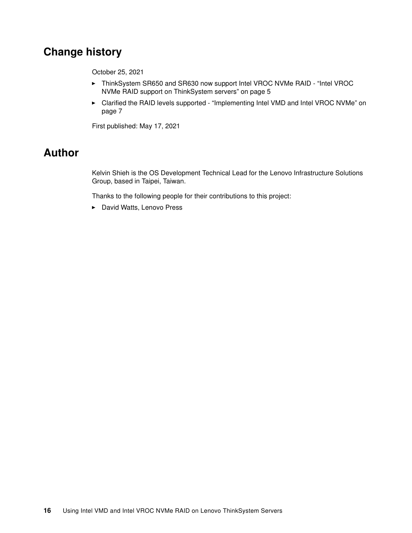# <span id="page-15-0"></span>**Change history**

October 25, 2021

- ► ThinkSystem SR650 and SR630 now support Intel VROC NVMe RAID "Intel VROC [NVMe RAID support on ThinkSystem servers" on page 5](#page-4-0)
- ► Clarified the RAID levels supported "Implementing Intel VMD and Intel VROC NVMe" on [page 7](#page-6-0)

First published: May 17, 2021

# <span id="page-15-1"></span>**Author**

Kelvin Shieh is the OS Development Technical Lead for the Lenovo Infrastructure Solutions Group, based in Taipei, Taiwan.

Thanks to the following people for their contributions to this project:

- David Watts, Lenovo Press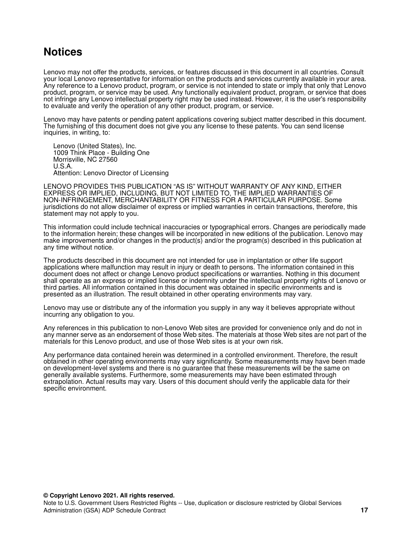# <span id="page-16-0"></span>**Notices**

Lenovo may not offer the products, services, or features discussed in this document in all countries. Consult your local Lenovo representative for information on the products and services currently available in your area. Any reference to a Lenovo product, program, or service is not intended to state or imply that only that Lenovo product, program, or service may be used. Any functionally equivalent product, program, or service that does not infringe any Lenovo intellectual property right may be used instead. However, it is the user's responsibility to evaluate and verify the operation of any other product, program, or service.

Lenovo may have patents or pending patent applications covering subject matter described in this document. The furnishing of this document does not give you any license to these patents. You can send license inquiries, in writing, to:

Lenovo (United States), Inc. 1009 Think Place - Building One Morrisville, NC 27560 U.S.A. Attention: Lenovo Director of Licensing

LENOVO PROVIDES THIS PUBLICATION "AS IS" WITHOUT WARRANTY OF ANY KIND, EITHER EXPRESS OR IMPLIED, INCLUDING, BUT NOT LIMITED TO, THE IMPLIED WARRANTIES OF NON-INFRINGEMENT, MERCHANTABILITY OR FITNESS FOR A PARTICULAR PURPOSE. Some jurisdictions do not allow disclaimer of express or implied warranties in certain transactions, therefore, this statement may not apply to you.

This information could include technical inaccuracies or typographical errors. Changes are periodically made to the information herein; these changes will be incorporated in new editions of the publication. Lenovo may make improvements and/or changes in the product(s) and/or the program(s) described in this publication at any time without notice.

The products described in this document are not intended for use in implantation or other life support applications where malfunction may result in injury or death to persons. The information contained in this document does not affect or change Lenovo product specifications or warranties. Nothing in this document shall operate as an express or implied license or indemnity under the intellectual property rights of Lenovo or third parties. All information contained in this document was obtained in specific environments and is presented as an illustration. The result obtained in other operating environments may vary.

Lenovo may use or distribute any of the information you supply in any way it believes appropriate without incurring any obligation to you.

Any references in this publication to non-Lenovo Web sites are provided for convenience only and do not in any manner serve as an endorsement of those Web sites. The materials at those Web sites are not part of the materials for this Lenovo product, and use of those Web sites is at your own risk.

Any performance data contained herein was determined in a controlled environment. Therefore, the result obtained in other operating environments may vary significantly. Some measurements may have been made on development-level systems and there is no guarantee that these measurements will be the same on generally available systems. Furthermore, some measurements may have been estimated through extrapolation. Actual results may vary. Users of this document should verify the applicable data for their specific environment.